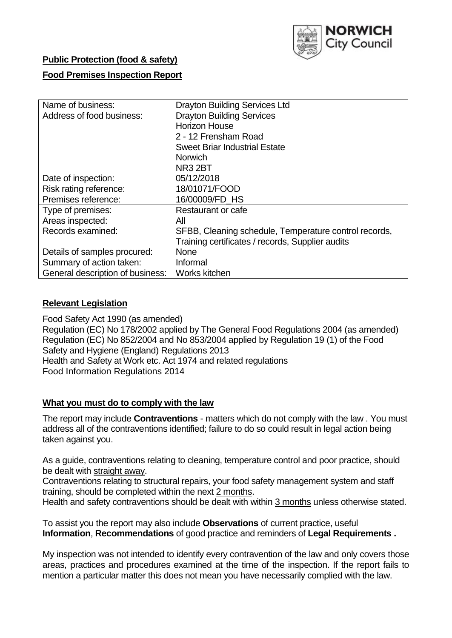

# **Public Protection (food & safety)**

### **Food Premises Inspection Report**

| Name of business:                | <b>Drayton Building Services Ltd</b>                  |  |  |  |  |  |
|----------------------------------|-------------------------------------------------------|--|--|--|--|--|
| Address of food business:        | <b>Drayton Building Services</b>                      |  |  |  |  |  |
|                                  | <b>Horizon House</b>                                  |  |  |  |  |  |
|                                  | 2 - 12 Frensham Road                                  |  |  |  |  |  |
|                                  | <b>Sweet Briar Industrial Estate</b>                  |  |  |  |  |  |
|                                  | <b>Norwich</b>                                        |  |  |  |  |  |
|                                  | NR3 2BT                                               |  |  |  |  |  |
| Date of inspection:              | 05/12/2018                                            |  |  |  |  |  |
| Risk rating reference:           | 18/01071/FOOD                                         |  |  |  |  |  |
| Premises reference:              | 16/00009/FD HS                                        |  |  |  |  |  |
| Type of premises:                | Restaurant or cafe                                    |  |  |  |  |  |
| Areas inspected:                 | All                                                   |  |  |  |  |  |
| Records examined:                | SFBB, Cleaning schedule, Temperature control records, |  |  |  |  |  |
|                                  | Training certificates / records, Supplier audits      |  |  |  |  |  |
| Details of samples procured:     | <b>None</b>                                           |  |  |  |  |  |
| Summary of action taken:         | Informal                                              |  |  |  |  |  |
| General description of business: | Works kitchen                                         |  |  |  |  |  |

#### **Relevant Legislation**

Food Safety Act 1990 (as amended) Regulation (EC) No 178/2002 applied by The General Food Regulations 2004 (as amended) Regulation (EC) No 852/2004 and No 853/2004 applied by Regulation 19 (1) of the Food Safety and Hygiene (England) Regulations 2013 Health and Safety at Work etc. Act 1974 and related regulations Food Information Regulations 2014

#### **What you must do to comply with the law**

The report may include **Contraventions** - matters which do not comply with the law . You must address all of the contraventions identified; failure to do so could result in legal action being taken against you.

As a guide, contraventions relating to cleaning, temperature control and poor practice, should be dealt with straight away.

Contraventions relating to structural repairs, your food safety management system and staff training, should be completed within the next 2 months.

Health and safety contraventions should be dealt with within 3 months unless otherwise stated.

To assist you the report may also include **Observations** of current practice, useful **Information**, **Recommendations** of good practice and reminders of **Legal Requirements .**

My inspection was not intended to identify every contravention of the law and only covers those areas, practices and procedures examined at the time of the inspection. If the report fails to mention a particular matter this does not mean you have necessarily complied with the law.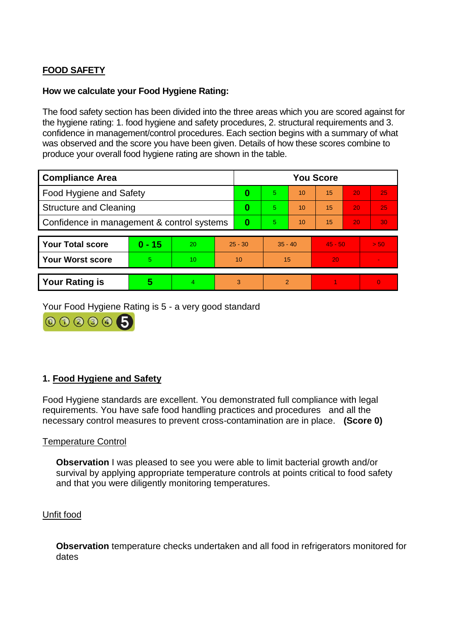# **FOOD SAFETY**

### **How we calculate your Food Hygiene Rating:**

The food safety section has been divided into the three areas which you are scored against for the hygiene rating: 1. food hygiene and safety procedures, 2. structural requirements and 3. confidence in management/control procedures. Each section begins with a summary of what was observed and the score you have been given. Details of how these scores combine to produce your overall food hygiene rating are shown in the table.

| <b>Compliance Area</b>                     |          |                 |           | <b>You Score</b> |                |    |           |    |          |  |  |
|--------------------------------------------|----------|-----------------|-----------|------------------|----------------|----|-----------|----|----------|--|--|
| Food Hygiene and Safety                    |          |                 |           | 0                | 5              | 10 | 15        | 20 | 25       |  |  |
| <b>Structure and Cleaning</b>              |          |                 | $\bf{0}$  | 5                | 10             | 15 | 20        | 25 |          |  |  |
| Confidence in management & control systems |          |                 | 0         | 5                | 10             | 15 | 20        | 30 |          |  |  |
|                                            |          |                 |           |                  |                |    |           |    |          |  |  |
| <b>Your Total score</b>                    | $0 - 15$ | 20              | $25 - 30$ |                  | $35 - 40$      |    | $45 - 50$ |    | > 50     |  |  |
| <b>Your Worst score</b>                    | 5        | 10 <sup>1</sup> | 10        |                  | 15             |    | 20        |    |          |  |  |
|                                            |          |                 |           |                  |                |    |           |    |          |  |  |
| <b>Your Rating is</b>                      | 5        |                 | 3         |                  | $\mathfrak{p}$ |    |           |    | $\Omega$ |  |  |

Your Food Hygiene Rating is 5 - a very good standard

000006

# **1. Food Hygiene and Safety**

Food Hygiene standards are excellent. You demonstrated full compliance with legal requirements. You have safe food handling practices and procedures and all the necessary control measures to prevent cross-contamination are in place. **(Score 0)**

#### Temperature Control

**Observation** I was pleased to see you were able to limit bacterial growth and/or survival by applying appropriate temperature controls at points critical to food safety and that you were diligently monitoring temperatures.

#### Unfit food

**Observation** temperature checks undertaken and all food in refrigerators monitored for dates